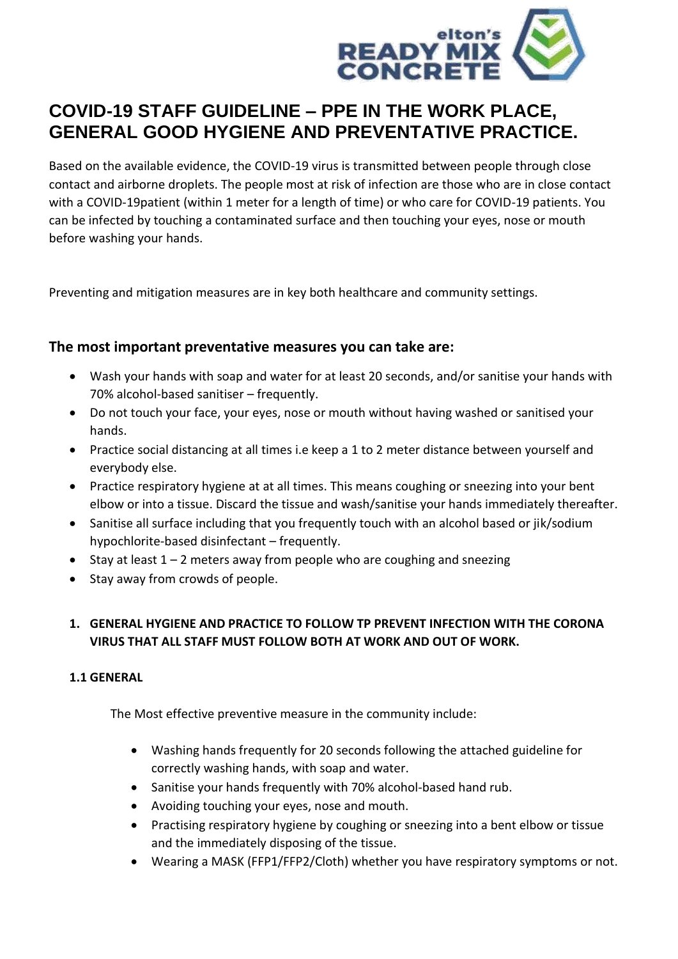

# **COVID-19 STAFF GUIDELINE – PPE IN THE WORK PLACE, GENERAL GOOD HYGIENE AND PREVENTATIVE PRACTICE.**

Based on the available evidence, the COVID-19 virus is transmitted between people through close contact and airborne droplets. The people most at risk of infection are those who are in close contact with a COVID-19patient (within 1 meter for a length of time) or who care for COVID-19 patients. You can be infected by touching a contaminated surface and then touching your eyes, nose or mouth before washing your hands.

Preventing and mitigation measures are in key both healthcare and community settings.

#### **The most important preventative measures you can take are:**

- Wash your hands with soap and water for at least 20 seconds, and/or sanitise your hands with 70% alcohol-based sanitiser – frequently.
- Do not touch your face, your eyes, nose or mouth without having washed or sanitised your hands.
- Practice social distancing at all times i.e keep a 1 to 2 meter distance between yourself and everybody else.
- Practice respiratory hygiene at at all times. This means coughing or sneezing into your bent elbow or into a tissue. Discard the tissue and wash/sanitise your hands immediately thereafter.
- Sanitise all surface including that you frequently touch with an alcohol based or jik/sodium hypochlorite-based disinfectant – frequently.
- Stay at least  $1 2$  meters away from people who are coughing and sneezing
- Stay away from crowds of people.

### **1. GENERAL HYGIENE AND PRACTICE TO FOLLOW TP PREVENT INFECTION WITH THE CORONA VIRUS THAT ALL STAFF MUST FOLLOW BOTH AT WORK AND OUT OF WORK.**

#### **1.1 GENERAL**

The Most effective preventive measure in the community include:

- Washing hands frequently for 20 seconds following the attached guideline for correctly washing hands, with soap and water.
- Sanitise your hands frequently with 70% alcohol-based hand rub.
- Avoiding touching your eyes, nose and mouth.
- Practising respiratory hygiene by coughing or sneezing into a bent elbow or tissue and the immediately disposing of the tissue.
- Wearing a MASK (FFP1/FFP2/Cloth) whether you have respiratory symptoms or not.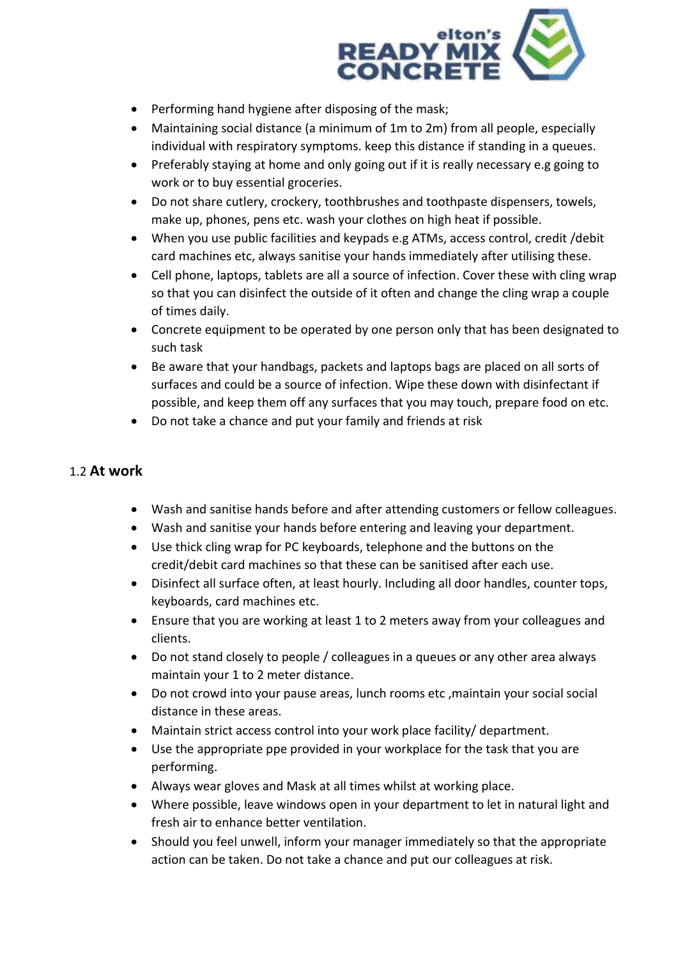

- Performing hand hygiene after disposing of the mask;
- Maintaining social distance (a minimum of 1m to 2m) from all people, especially individual with respiratory symptoms. keep this distance if standing in a queues.
- Preferably staying at home and only going out if it is really necessary e.g going to work or to buy essential groceries.
- Do not share cutlery, crockery, toothbrushes and toothpaste dispensers, towels, make up, phones, pens etc. wash your clothes on high heat if possible.
- When you use public facilities and keypads e.g ATMs, access control, credit /debit card machines etc, always sanitise your hands immediately after utilising these.
- Cell phone, laptops, tablets are all a source of infection. Cover these with cling wrap so that you can disinfect the outside of it often and change the cling wrap a couple of times daily.
- Concrete equipment to be operated by one person only that has been designated to such task
- Be aware that your handbags, packets and laptops bags are placed on all sorts of surfaces and could be a source of infection. Wipe these down with disinfectant if possible, and keep them off any surfaces that you may touch, prepare food on etc.
- Do not take a chance and put your family and friends at risk

## 1.2 **At work**

- Wash and sanitise hands before and after attending customers or fellow colleagues.
- Wash and sanitise your hands before entering and leaving your department.
- Use thick cling wrap for PC keyboards, telephone and the buttons on the credit/debit card machines so that these can be sanitised after each use.
- Disinfect all surface often, at least hourly. Including all door handles, counter tops, keyboards, card machines etc.
- Ensure that you are working at least 1 to 2 meters away from your colleagues and clients.
- Do not stand closely to people / colleagues in a queues or any other area always maintain your 1 to 2 meter distance.
- Do not crowd into your pause areas, lunch rooms etc ,maintain your social social distance in these areas.
- Maintain strict access control into your work place facility/ department.
- Use the appropriate ppe provided in your workplace for the task that you are performing.
- Always wear gloves and Mask at all times whilst at working place.
- Where possible, leave windows open in your department to let in natural light and fresh air to enhance better ventilation.
- Should you feel unwell, inform your manager immediately so that the appropriate action can be taken. Do not take a chance and put our colleagues at risk.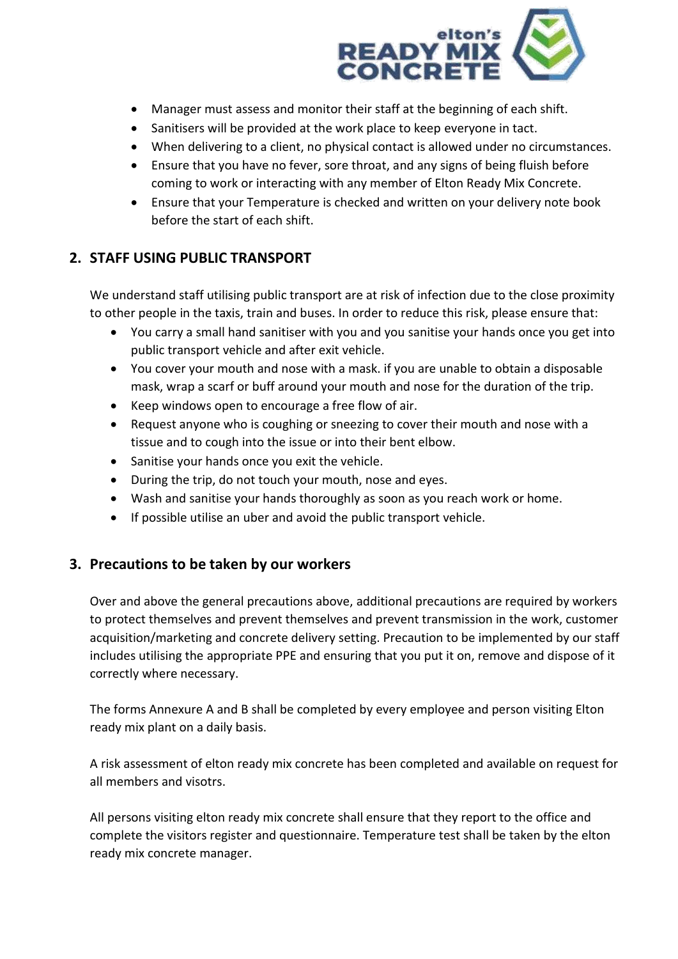

- Manager must assess and monitor their staff at the beginning of each shift.
- Sanitisers will be provided at the work place to keep everyone in tact.
- When delivering to a client, no physical contact is allowed under no circumstances.
- Ensure that you have no fever, sore throat, and any signs of being fluish before coming to work or interacting with any member of Elton Ready Mix Concrete.
- Ensure that your Temperature is checked and written on your delivery note book before the start of each shift.

## **2. STAFF USING PUBLIC TRANSPORT**

We understand staff utilising public transport are at risk of infection due to the close proximity to other people in the taxis, train and buses. In order to reduce this risk, please ensure that:

- You carry a small hand sanitiser with you and you sanitise your hands once you get into public transport vehicle and after exit vehicle.
- You cover your mouth and nose with a mask. if you are unable to obtain a disposable mask, wrap a scarf or buff around your mouth and nose for the duration of the trip.
- Keep windows open to encourage a free flow of air.
- Request anyone who is coughing or sneezing to cover their mouth and nose with a tissue and to cough into the issue or into their bent elbow.
- Sanitise your hands once you exit the vehicle.
- During the trip, do not touch your mouth, nose and eyes.
- Wash and sanitise your hands thoroughly as soon as you reach work or home.
- If possible utilise an uber and avoid the public transport vehicle.

### **3. Precautions to be taken by our workers**

Over and above the general precautions above, additional precautions are required by workers to protect themselves and prevent themselves and prevent transmission in the work, customer acquisition/marketing and concrete delivery setting. Precaution to be implemented by our staff includes utilising the appropriate PPE and ensuring that you put it on, remove and dispose of it correctly where necessary.

The forms Annexure A and B shall be completed by every employee and person visiting Elton ready mix plant on a daily basis.

A risk assessment of elton ready mix concrete has been completed and available on request for all members and visotrs.

All persons visiting elton ready mix concrete shall ensure that they report to the office and complete the visitors register and questionnaire. Temperature test shall be taken by the elton ready mix concrete manager.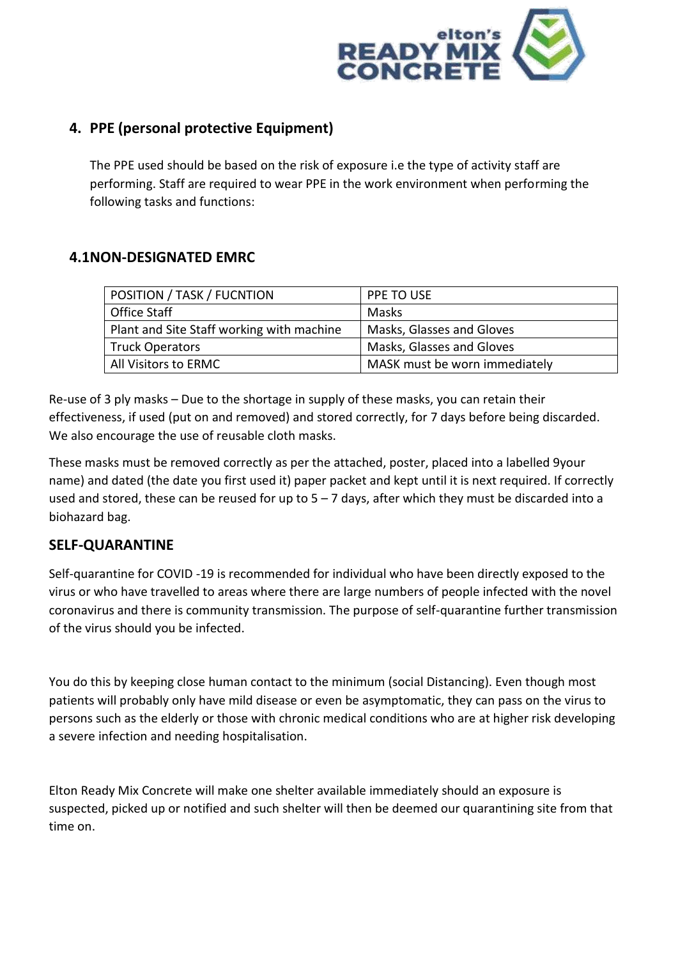

## **4. PPE (personal protective Equipment)**

The PPE used should be based on the risk of exposure i.e the type of activity staff are performing. Staff are required to wear PPE in the work environment when performing the following tasks and functions:

## **4.1NON-DESIGNATED EMRC**

| POSITION / TASK / FUCNTION                | PPE TO USE                    |
|-------------------------------------------|-------------------------------|
| <b>Office Staff</b>                       | Masks                         |
| Plant and Site Staff working with machine | Masks, Glasses and Gloves     |
| <b>Truck Operators</b>                    | Masks, Glasses and Gloves     |
| All Visitors to ERMC                      | MASK must be worn immediately |

Re-use of 3 ply masks – Due to the shortage in supply of these masks, you can retain their effectiveness, if used (put on and removed) and stored correctly, for 7 days before being discarded. We also encourage the use of reusable cloth masks.

These masks must be removed correctly as per the attached, poster, placed into a labelled 9your name) and dated (the date you first used it) paper packet and kept until it is next required. If correctly used and stored, these can be reused for up to  $5 - 7$  days, after which they must be discarded into a biohazard bag.

### **SELF-QUARANTINE**

Self-quarantine for COVID -19 is recommended for individual who have been directly exposed to the virus or who have travelled to areas where there are large numbers of people infected with the novel coronavirus and there is community transmission. The purpose of self-quarantine further transmission of the virus should you be infected.

You do this by keeping close human contact to the minimum (social Distancing). Even though most patients will probably only have mild disease or even be asymptomatic, they can pass on the virus to persons such as the elderly or those with chronic medical conditions who are at higher risk developing a severe infection and needing hospitalisation.

Elton Ready Mix Concrete will make one shelter available immediately should an exposure is suspected, picked up or notified and such shelter will then be deemed our quarantining site from that time on.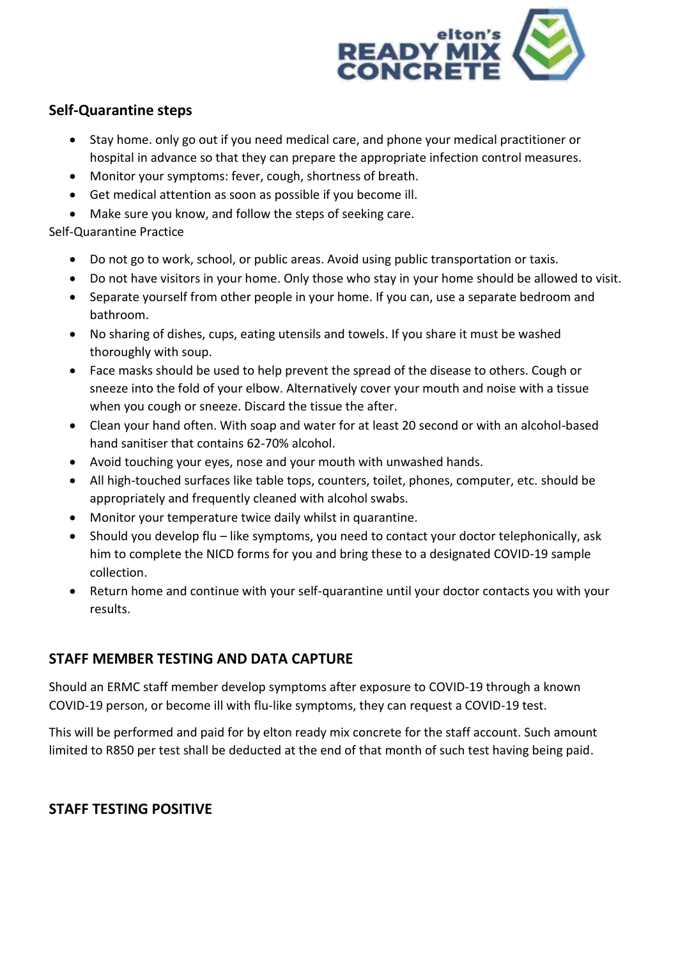

## **Self-Quarantine steps**

- Stay home. only go out if you need medical care, and phone your medical practitioner or hospital in advance so that they can prepare the appropriate infection control measures.
- Monitor your symptoms: fever, cough, shortness of breath.
- Get medical attention as soon as possible if you become ill.
- Make sure you know, and follow the steps of seeking care.

#### Self-Quarantine Practice

- Do not go to work, school, or public areas. Avoid using public transportation or taxis.
- Do not have visitors in your home. Only those who stay in your home should be allowed to visit.
- Separate yourself from other people in your home. If you can, use a separate bedroom and bathroom.
- No sharing of dishes, cups, eating utensils and towels. If you share it must be washed thoroughly with soup.
- Face masks should be used to help prevent the spread of the disease to others. Cough or sneeze into the fold of your elbow. Alternatively cover your mouth and noise with a tissue when you cough or sneeze. Discard the tissue the after.
- Clean your hand often. With soap and water for at least 20 second or with an alcohol-based hand sanitiser that contains 62-70% alcohol.
- Avoid touching your eyes, nose and your mouth with unwashed hands.
- All high-touched surfaces like table tops, counters, toilet, phones, computer, etc. should be appropriately and frequently cleaned with alcohol swabs.
- Monitor your temperature twice daily whilst in quarantine.
- Should you develop flu like symptoms, you need to contact your doctor telephonically, ask him to complete the NICD forms for you and bring these to a designated COVID-19 sample collection.
- Return home and continue with your self-quarantine until your doctor contacts you with your results.

## **STAFF MEMBER TESTING AND DATA CAPTURE**

Should an ERMC staff member develop symptoms after exposure to COVID-19 through a known COVID-19 person, or become ill with flu-like symptoms, they can request a COVID-19 test.

This will be performed and paid for by elton ready mix concrete for the staff account. Such amount limited to R850 per test shall be deducted at the end of that month of such test having being paid.

### **STAFF TESTING POSITIVE**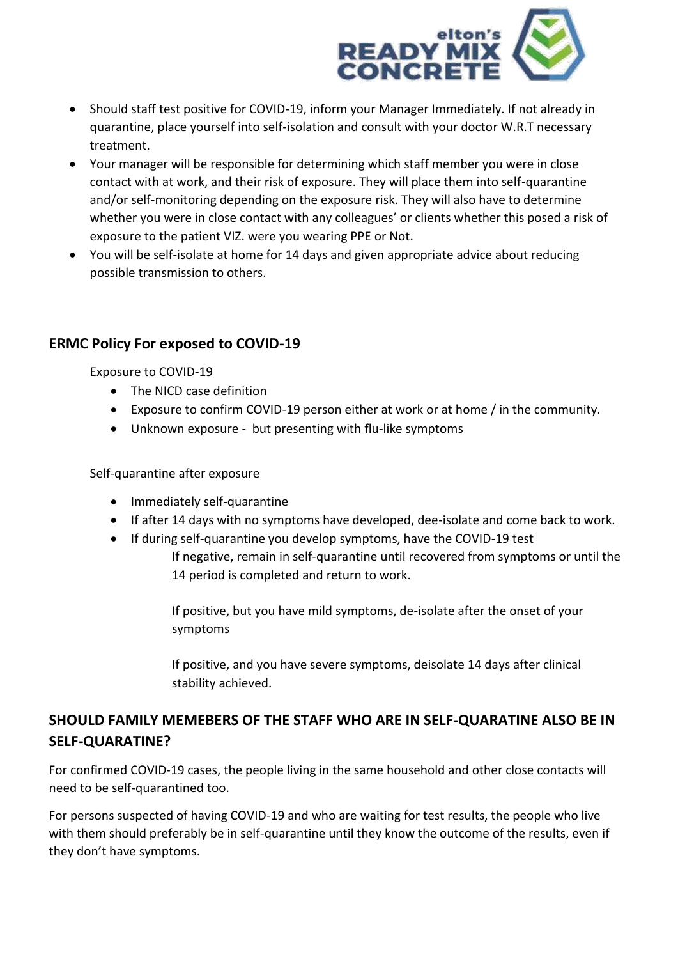

- Should staff test positive for COVID-19, inform your Manager Immediately. If not already in quarantine, place yourself into self-isolation and consult with your doctor W.R.T necessary treatment.
- Your manager will be responsible for determining which staff member you were in close contact with at work, and their risk of exposure. They will place them into self-quarantine and/or self-monitoring depending on the exposure risk. They will also have to determine whether you were in close contact with any colleagues' or clients whether this posed a risk of exposure to the patient VIZ. were you wearing PPE or Not.
- You will be self-isolate at home for 14 days and given appropriate advice about reducing possible transmission to others.

## **ERMC Policy For exposed to COVID-19**

Exposure to COVID-19

- The NICD case definition
- Exposure to confirm COVID-19 person either at work or at home / in the community.
- Unknown exposure but presenting with flu-like symptoms

Self-quarantine after exposure

- Immediately self-quarantine
- If after 14 days with no symptoms have developed, dee-isolate and come back to work.
- If during self-quarantine you develop symptoms, have the COVID-19 test
	- If negative, remain in self-quarantine until recovered from symptoms or until the 14 period is completed and return to work.

If positive, but you have mild symptoms, de-isolate after the onset of your symptoms

If positive, and you have severe symptoms, deisolate 14 days after clinical stability achieved.

# **SHOULD FAMILY MEMEBERS OF THE STAFF WHO ARE IN SELF-QUARATINE ALSO BE IN SELF-QUARATINE?**

For confirmed COVID-19 cases, the people living in the same household and other close contacts will need to be self-quarantined too.

For persons suspected of having COVID-19 and who are waiting for test results, the people who live with them should preferably be in self-quarantine until they know the outcome of the results, even if they don't have symptoms.